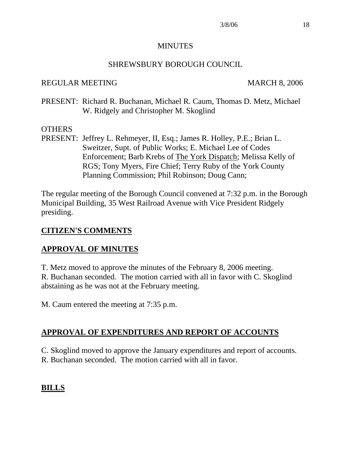#### MINUTES

### SHREWSBURY BOROUGH COUNCIL

#### REGULAR MEETING MARCH 8, 2006

PRESENT: Richard R. Buchanan, Michael R. Caum, Thomas D. Metz, Michael W. Ridgely and Christopher M. Skoglind

### **OTHERS**

PRESENT: Jeffrey L. Rehmeyer, II, Esq.; James R. Holley, P.E.; Brian L. Sweitzer, Supt. of Public Works; E. Michael Lee of Codes Enforcement; Barb Krebs of The York Dispatch; Melissa Kelly of RGS; Tony Myers, Fire Chief; Terry Ruby of the York County Planning Commission; Phil Robinson; Doug Cann;

The regular meeting of the Borough Council convened at 7:32 p.m. in the Borough Municipal Building, 35 West Railroad Avenue with Vice President Ridgely presiding.

## **CITIZEN'S COMMENTS**

## **APPROVAL OF MINUTES**

T. Metz moved to approve the minutes of the February 8, 2006 meeting. R. Buchanan seconded. The motion carried with all in favor with C. Skoglind abstaining as he was not at the February meeting.

M. Caum entered the meeting at 7:35 p.m.

# **APPROVAL OF EXPENDITURES AND REPORT OF ACCOUNTS**

C. Skoglind moved to approve the January expenditures and report of accounts. R. Buchanan seconded. The motion carried with all in favor.

# **BILLS**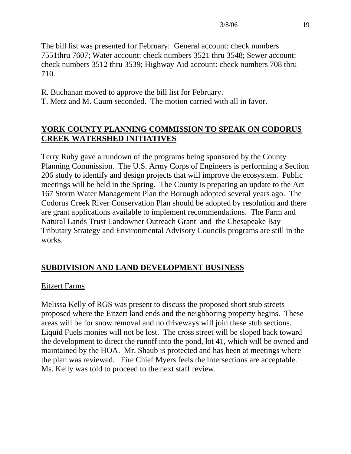The bill list was presented for February: General account: check numbers 7551thru 7607; Water account: check numbers 3521 thru 3548; Sewer account: check numbers 3512 thru 3539; Highway Aid account: check numbers 708 thru 710.

R. Buchanan moved to approve the bill list for February.

T. Metz and M. Caum seconded. The motion carried with all in favor.

## **YORK COUNTY PLANNING COMMISSION TO SPEAK ON CODORUS CREEK WATERSHED INITIATIVES**

Terry Ruby gave a rundown of the programs being sponsored by the County Planning Commission. The U.S. Army Corps of Engineers is performing a Section 206 study to identify and design projects that will improve the ecosystem. Public meetings will be held in the Spring. The County is preparing an update to the Act 167 Storm Water Management Plan the Borough adopted several years ago. The Codorus Creek River Conservation Plan should be adopted by resolution and there are grant applications available to implement recommendations. The Farm and Natural Lands Trust Landowner Outreach Grant and the Chesapeake Bay Tributary Strategy and Environmental Advisory Councils programs are still in the works.

# **SUBDIVISION AND LAND DEVELOPMENT BUSINESS**

## Eitzert Farms

Melissa Kelly of RGS was present to discuss the proposed short stub streets proposed where the Eitzert land ends and the neighboring property begins. These areas will be for snow removal and no driveways will join these stub sections. Liquid Fuels monies will not be lost. The cross street will be sloped back toward the development to direct the runoff into the pond, lot 41, which will be owned and maintained by the HOA. Mr. Shaub is protected and has been at meetings where the plan was reviewed. Fire Chief Myers feels the intersections are acceptable. Ms. Kelly was told to proceed to the next staff review.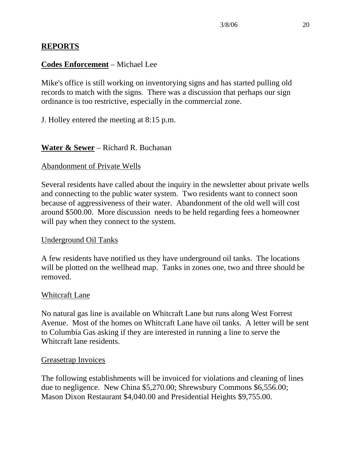## **REPORTS**

## **Codes Enforcement** – Michael Lee

Mike's office is still working on inventorying signs and has started pulling old records to match with the signs. There was a discussion that perhaps our sign ordinance is too restrictive, especially in the commercial zone.

J. Holley entered the meeting at 8:15 p.m.

## **Water & Sewer** – Richard R. Buchanan

#### Abandonment of Private Wells

Several residents have called about the inquiry in the newsletter about private wells and connecting to the public water system. Two residents want to connect soon because of aggressiveness of their water. Abandonment of the old well will cost around \$500.00. More discussion needs to be held regarding fees a homeowner will pay when they connect to the system.

#### Underground Oil Tanks

A few residents have notified us they have underground oil tanks. The locations will be plotted on the wellhead map. Tanks in zones one, two and three should be removed.

#### Whitcraft Lane

No natural gas line is available on Whitcraft Lane but runs along West Forrest Avenue. Most of the homes on Whitcraft Lane have oil tanks. A letter will be sent to Columbia Gas asking if they are interested in running a line to serve the Whitcraft lane residents.

#### Greasetrap Invoices

The following establishments will be invoiced for violations and cleaning of lines due to negligence. New China \$5,270.00; Shrewsbury Commons \$6,556.00; Mason Dixon Restaurant \$4,040.00 and Presidential Heights \$9,755.00.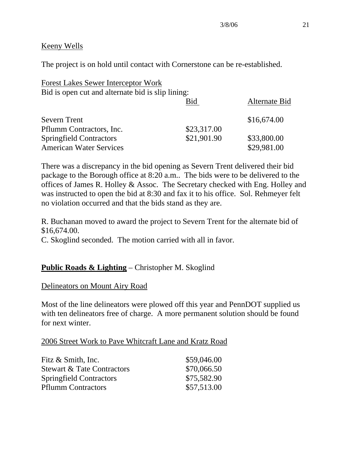#### Keeny Wells

The project is on hold until contact with Cornerstone can be re-established.

| <b>Forest Lakes Sewer Interceptor Work</b>        |             |               |
|---------------------------------------------------|-------------|---------------|
| Bid is open cut and alternate bid is slip lining: |             |               |
|                                                   | Bid         | Alternate Bid |
| <b>Severn Trent</b>                               |             | \$16,674.00   |
| Pflumm Contractors, Inc.                          | \$23,317.00 |               |
| <b>Springfield Contractors</b>                    | \$21,901.90 | \$33,800.00   |
| <b>American Water Services</b>                    |             | \$29,981.00   |

There was a discrepancy in the bid opening as Severn Trent delivered their bid package to the Borough office at 8:20 a.m.. The bids were to be delivered to the offices of James R. Holley & Assoc. The Secretary checked with Eng. Holley and was instructed to open the bid at 8:30 and fax it to his office. Sol. Rehmeyer felt no violation occurred and that the bids stand as they are.

R. Buchanan moved to award the project to Severn Trent for the alternate bid of \$16,674.00.

C. Skoglind seconded. The motion carried with all in favor.

## **Public Roads & Lighting** – Christopher M. Skoglind

#### Delineators on Mount Airy Road

Most of the line delineators were plowed off this year and PennDOT supplied us with ten delineators free of charge. A more permanent solution should be found for next winter.

#### 2006 Street Work to Pave Whitcraft Lane and Kratz Road

| Fitz & Smith, Inc.                    | \$59,046.00 |
|---------------------------------------|-------------|
| <b>Stewart &amp; Tate Contractors</b> | \$70,066.50 |
| <b>Springfield Contractors</b>        | \$75,582.90 |
| <b>Pflumm Contractors</b>             | \$57,513.00 |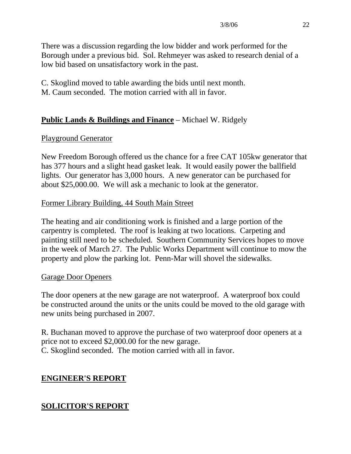There was a discussion regarding the low bidder and work performed for the Borough under a previous bid. Sol. Rehmeyer was asked to research denial of a low bid based on unsatisfactory work in the past.

C. Skoglind moved to table awarding the bids until next month.

M. Caum seconded. The motion carried with all in favor.

# **Public Lands & Buildings and Finance** – Michael W. Ridgely

# Playground Generator

New Freedom Borough offered us the chance for a free CAT 105kw generator that has 377 hours and a slight head gasket leak. It would easily power the ballfield lights. Our generator has 3,000 hours. A new generator can be purchased for about \$25,000.00. We will ask a mechanic to look at the generator.

# Former Library Building, 44 South Main Street

The heating and air conditioning work is finished and a large portion of the carpentry is completed. The roof is leaking at two locations. Carpeting and painting still need to be scheduled. Southern Community Services hopes to move in the week of March 27. The Public Works Department will continue to mow the property and plow the parking lot. Penn-Mar will shovel the sidewalks.

# Garage Door Openers

The door openers at the new garage are not waterproof. A waterproof box could be constructed around the units or the units could be moved to the old garage with new units being purchased in 2007.

R. Buchanan moved to approve the purchase of two waterproof door openers at a price not to exceed \$2,000.00 for the new garage. C. Skoglind seconded. The motion carried with all in favor.

# **ENGINEER'S REPORT**

# **SOLICITOR'S REPORT**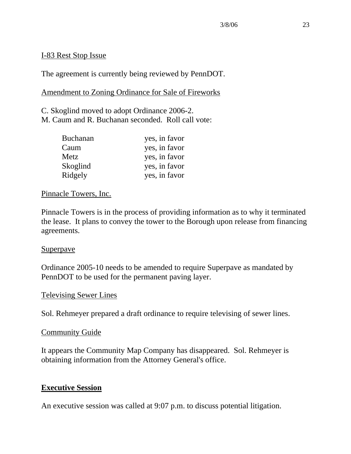## I-83 Rest Stop Issue

The agreement is currently being reviewed by PennDOT.

## Amendment to Zoning Ordinance for Sale of Fireworks

C. Skoglind moved to adopt Ordinance 2006-2. M. Caum and R. Buchanan seconded. Roll call vote:

| <b>Buchanan</b> | yes, in favor |
|-----------------|---------------|
| Caum            | yes, in favor |
| Metz            | yes, in favor |
| Skoglind        | yes, in favor |
| Ridgely         | yes, in favor |

### Pinnacle Towers, Inc.

Pinnacle Towers is in the process of providing information as to why it terminated the lease. It plans to convey the tower to the Borough upon release from financing agreements.

#### Superpave

Ordinance 2005-10 needs to be amended to require Superpave as mandated by PennDOT to be used for the permanent paving layer.

#### Televising Sewer Lines

Sol. Rehmeyer prepared a draft ordinance to require televising of sewer lines.

#### Community Guide

It appears the Community Map Company has disappeared. Sol. Rehmeyer is obtaining information from the Attorney General's office.

## **Executive Session**

An executive session was called at 9:07 p.m. to discuss potential litigation.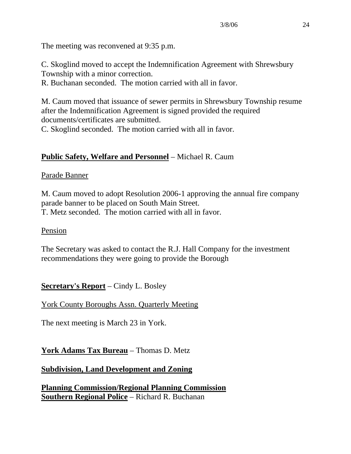The meeting was reconvened at 9:35 p.m.

C. Skoglind moved to accept the Indemnification Agreement with Shrewsbury Township with a minor correction.

R. Buchanan seconded. The motion carried with all in favor.

M. Caum moved that issuance of sewer permits in Shrewsbury Township resume after the Indemnification Agreement is signed provided the required documents/certificates are submitted.

C. Skoglind seconded. The motion carried with all in favor.

## **Public Safety, Welfare and Personnel** – Michael R. Caum

### Parade Banner

M. Caum moved to adopt Resolution 2006-1 approving the annual fire company parade banner to be placed on South Main Street. T. Metz seconded. The motion carried with all in favor.

## Pension

The Secretary was asked to contact the R.J. Hall Company for the investment recommendations they were going to provide the Borough

**Secretary's Report** – Cindy L. Bosley

York County Boroughs Assn. Quarterly Meeting

The next meeting is March 23 in York.

## **York Adams Tax Bureau** – Thomas D. Metz

## **Subdivision, Land Development and Zoning**

**Planning Commission/Regional Planning Commission Southern Regional Police** – Richard R. Buchanan